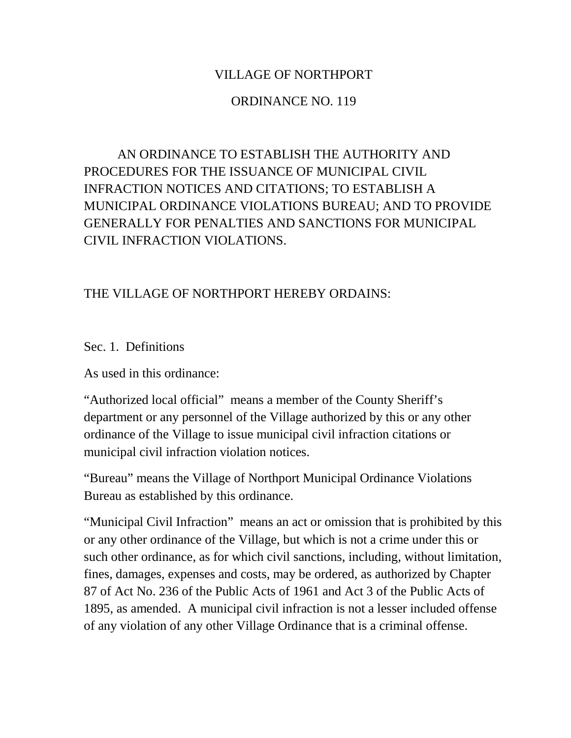### VILLAGE OF NORTHPORT

### ORDINANCE NO. 119

AN ORDINANCE TO ESTABLISH THE AUTHORITY AND PROCEDURES FOR THE ISSUANCE OF MUNICIPAL CIVIL INFRACTION NOTICES AND CITATIONS; TO ESTABLISH A MUNICIPAL ORDINANCE VIOLATIONS BUREAU; AND TO PROVIDE GENERALLY FOR PENALTIES AND SANCTIONS FOR MUNICIPAL CIVIL INFRACTION VIOLATIONS.

### THE VILLAGE OF NORTHPORT HEREBY ORDAINS:

Sec. 1. Definitions

As used in this ordinance:

"Authorized local official" means a member of the County Sheriff's department or any personnel of the Village authorized by this or any other ordinance of the Village to issue municipal civil infraction citations or municipal civil infraction violation notices.

"Bureau" means the Village of Northport Municipal Ordinance Violations Bureau as established by this ordinance.

"Municipal Civil Infraction" means an act or omission that is prohibited by this or any other ordinance of the Village, but which is not a crime under this or such other ordinance, as for which civil sanctions, including, without limitation, fines, damages, expenses and costs, may be ordered, as authorized by Chapter 87 of Act No. 236 of the Public Acts of 1961 and Act 3 of the Public Acts of 1895, as amended. A municipal civil infraction is not a lesser included offense of any violation of any other Village Ordinance that is a criminal offense.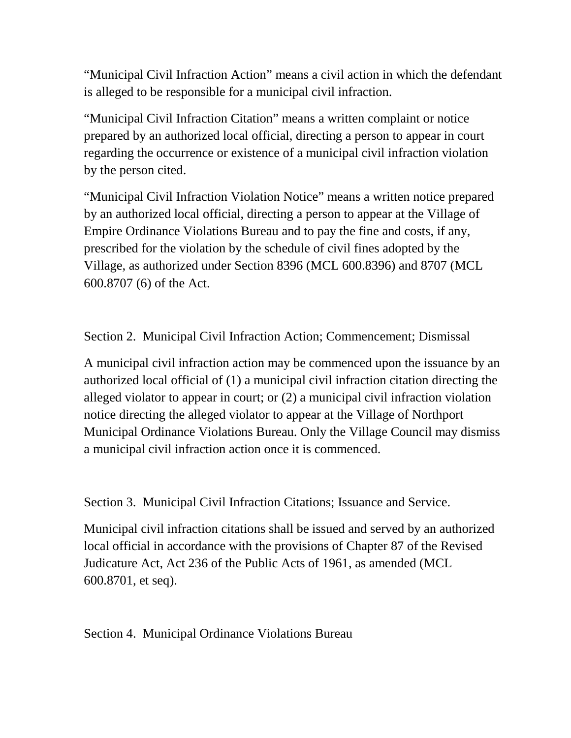"Municipal Civil Infraction Action" means a civil action in which the defendant is alleged to be responsible for a municipal civil infraction.

"Municipal Civil Infraction Citation" means a written complaint or notice prepared by an authorized local official, directing a person to appear in court regarding the occurrence or existence of a municipal civil infraction violation by the person cited.

"Municipal Civil Infraction Violation Notice" means a written notice prepared by an authorized local official, directing a person to appear at the Village of Empire Ordinance Violations Bureau and to pay the fine and costs, if any, prescribed for the violation by the schedule of civil fines adopted by the Village, as authorized under Section 8396 (MCL 600.8396) and 8707 (MCL 600.8707 (6) of the Act.

Section 2. Municipal Civil Infraction Action; Commencement; Dismissal

A municipal civil infraction action may be commenced upon the issuance by an authorized local official of (1) a municipal civil infraction citation directing the alleged violator to appear in court; or (2) a municipal civil infraction violation notice directing the alleged violator to appear at the Village of Northport Municipal Ordinance Violations Bureau. Only the Village Council may dismiss a municipal civil infraction action once it is commenced.

Section 3. Municipal Civil Infraction Citations; Issuance and Service.

Municipal civil infraction citations shall be issued and served by an authorized local official in accordance with the provisions of Chapter 87 of the Revised Judicature Act, Act 236 of the Public Acts of 1961, as amended (MCL 600.8701, et seq).

Section 4. Municipal Ordinance Violations Bureau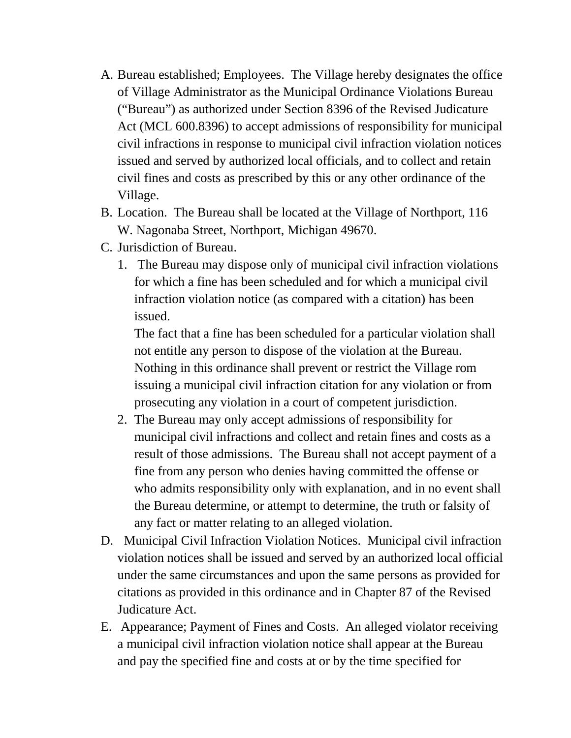- A. Bureau established; Employees. The Village hereby designates the office of Village Administrator as the Municipal Ordinance Violations Bureau ("Bureau") as authorized under Section 8396 of the Revised Judicature Act (MCL 600.8396) to accept admissions of responsibility for municipal civil infractions in response to municipal civil infraction violation notices issued and served by authorized local officials, and to collect and retain civil fines and costs as prescribed by this or any other ordinance of the Village.
- B. Location. The Bureau shall be located at the Village of Northport, 116 W. Nagonaba Street, Northport, Michigan 49670.
- C. Jurisdiction of Bureau.
	- 1. The Bureau may dispose only of municipal civil infraction violations for which a fine has been scheduled and for which a municipal civil infraction violation notice (as compared with a citation) has been issued.

The fact that a fine has been scheduled for a particular violation shall not entitle any person to dispose of the violation at the Bureau. Nothing in this ordinance shall prevent or restrict the Village rom issuing a municipal civil infraction citation for any violation or from prosecuting any violation in a court of competent jurisdiction.

- 2. The Bureau may only accept admissions of responsibility for municipal civil infractions and collect and retain fines and costs as a result of those admissions. The Bureau shall not accept payment of a fine from any person who denies having committed the offense or who admits responsibility only with explanation, and in no event shall the Bureau determine, or attempt to determine, the truth or falsity of any fact or matter relating to an alleged violation.
- D. Municipal Civil Infraction Violation Notices. Municipal civil infraction violation notices shall be issued and served by an authorized local official under the same circumstances and upon the same persons as provided for citations as provided in this ordinance and in Chapter 87 of the Revised Judicature Act.
- E. Appearance; Payment of Fines and Costs. An alleged violator receiving a municipal civil infraction violation notice shall appear at the Bureau and pay the specified fine and costs at or by the time specified for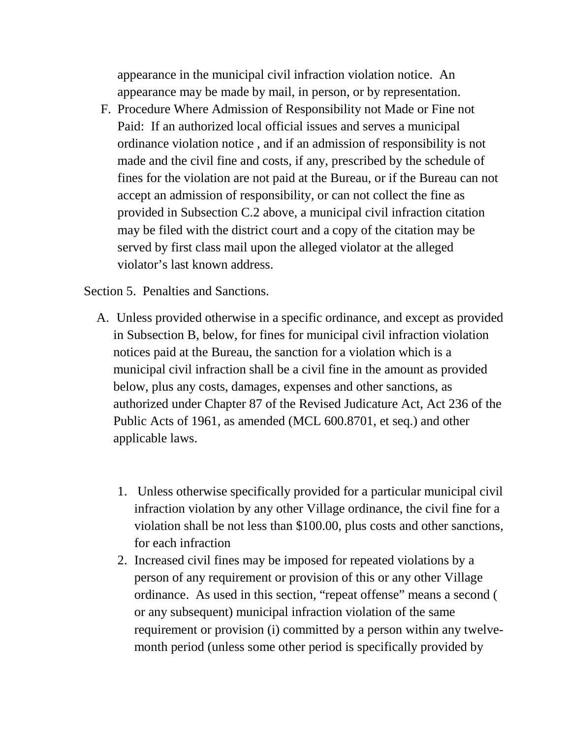appearance in the municipal civil infraction violation notice. An appearance may be made by mail, in person, or by representation.

F. Procedure Where Admission of Responsibility not Made or Fine not Paid: If an authorized local official issues and serves a municipal ordinance violation notice , and if an admission of responsibility is not made and the civil fine and costs, if any, prescribed by the schedule of fines for the violation are not paid at the Bureau, or if the Bureau can not accept an admission of responsibility, or can not collect the fine as provided in Subsection C.2 above, a municipal civil infraction citation may be filed with the district court and a copy of the citation may be served by first class mail upon the alleged violator at the alleged violator's last known address.

Section 5. Penalties and Sanctions.

- A. Unless provided otherwise in a specific ordinance, and except as provided in Subsection B, below, for fines for municipal civil infraction violation notices paid at the Bureau, the sanction for a violation which is a municipal civil infraction shall be a civil fine in the amount as provided below, plus any costs, damages, expenses and other sanctions, as authorized under Chapter 87 of the Revised Judicature Act, Act 236 of the Public Acts of 1961, as amended (MCL 600.8701, et seq.) and other applicable laws.
	- 1. Unless otherwise specifically provided for a particular municipal civil infraction violation by any other Village ordinance, the civil fine for a violation shall be not less than \$100.00, plus costs and other sanctions, for each infraction
	- 2. Increased civil fines may be imposed for repeated violations by a person of any requirement or provision of this or any other Village ordinance. As used in this section, "repeat offense" means a second ( or any subsequent) municipal infraction violation of the same requirement or provision (i) committed by a person within any twelvemonth period (unless some other period is specifically provided by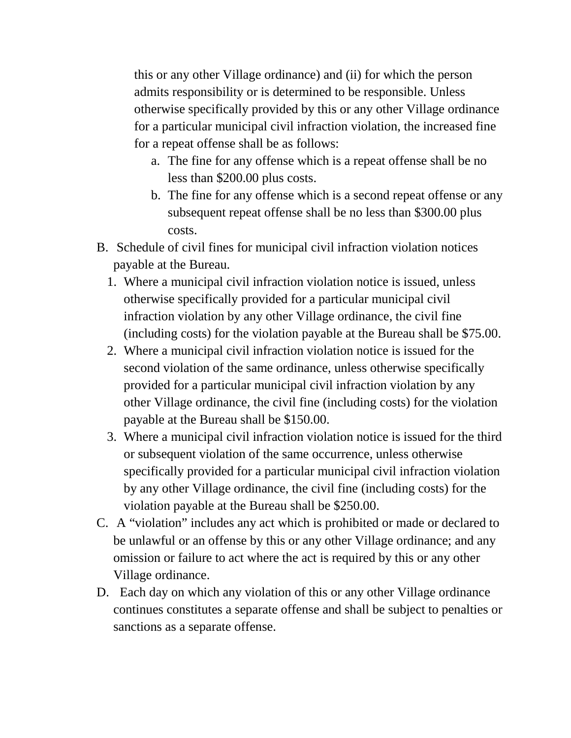this or any other Village ordinance) and (ii) for which the person admits responsibility or is determined to be responsible. Unless otherwise specifically provided by this or any other Village ordinance for a particular municipal civil infraction violation, the increased fine for a repeat offense shall be as follows:

- a. The fine for any offense which is a repeat offense shall be no less than \$200.00 plus costs.
- b. The fine for any offense which is a second repeat offense or any subsequent repeat offense shall be no less than \$300.00 plus costs.
- B. Schedule of civil fines for municipal civil infraction violation notices payable at the Bureau.
	- 1. Where a municipal civil infraction violation notice is issued, unless otherwise specifically provided for a particular municipal civil infraction violation by any other Village ordinance, the civil fine (including costs) for the violation payable at the Bureau shall be \$75.00.
	- 2. Where a municipal civil infraction violation notice is issued for the second violation of the same ordinance, unless otherwise specifically provided for a particular municipal civil infraction violation by any other Village ordinance, the civil fine (including costs) for the violation payable at the Bureau shall be \$150.00.
	- 3. Where a municipal civil infraction violation notice is issued for the third or subsequent violation of the same occurrence, unless otherwise specifically provided for a particular municipal civil infraction violation by any other Village ordinance, the civil fine (including costs) for the violation payable at the Bureau shall be \$250.00.
- C. A "violation" includes any act which is prohibited or made or declared to be unlawful or an offense by this or any other Village ordinance; and any omission or failure to act where the act is required by this or any other Village ordinance.
- D. Each day on which any violation of this or any other Village ordinance continues constitutes a separate offense and shall be subject to penalties or sanctions as a separate offense.